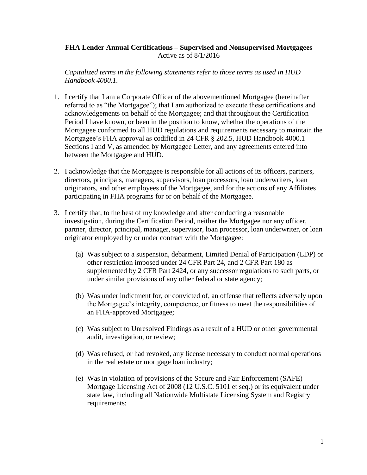## **FHA Lender Annual Certifications – Supervised and Nonsupervised Mortgagees** Active as of 8/1/2016

*Capitalized terms in the following statements refer to those terms as used in HUD Handbook 4000.1.*

- 1. I certify that I am a Corporate Officer of the abovementioned Mortgagee (hereinafter referred to as "the Mortgagee"); that I am authorized to execute these certifications and acknowledgements on behalf of the Mortgagee; and that throughout the Certification Period I have known, or been in the position to know, whether the operations of the Mortgagee conformed to all HUD regulations and requirements necessary to maintain the Mortgagee's FHA approval as codified in 24 CFR § 202.5, HUD Handbook 4000.1 Sections I and V, as amended by Mortgagee Letter, and any agreements entered into between the Mortgagee and HUD.
- 2. I acknowledge that the Mortgagee is responsible for all actions of its officers, partners, directors, principals, managers, supervisors, loan processors, loan underwriters, loan originators, and other employees of the Mortgagee, and for the actions of any Affiliates participating in FHA programs for or on behalf of the Mortgagee.
- 3. I certify that, to the best of my knowledge and after conducting a reasonable investigation, during the Certification Period, neither the Mortgagee nor any officer, partner, director, principal, manager, supervisor, loan processor, loan underwriter, or loan originator employed by or under contract with the Mortgagee:
	- (a) Was subject to a suspension, debarment, Limited Denial of Participation (LDP) or other restriction imposed under 24 CFR Part 24, and 2 CFR Part 180 as supplemented by 2 CFR Part 2424, or any successor regulations to such parts, or under similar provisions of any other federal or state agency;
	- (b) Was under indictment for, or convicted of, an offense that reflects adversely upon the Mortgagee's integrity, competence, or fitness to meet the responsibilities of an FHA-approved Mortgagee;
	- (c) Was subject to Unresolved Findings as a result of a HUD or other governmental audit, investigation, or review;
	- (d) Was refused, or had revoked, any license necessary to conduct normal operations in the real estate or mortgage loan industry;
	- (e) Was in violation of provisions of the Secure and Fair Enforcement (SAFE) Mortgage Licensing Act of 2008 (12 U.S.C. 5101 et seq.) or its equivalent under state law, including all Nationwide Multistate Licensing System and Registry requirements;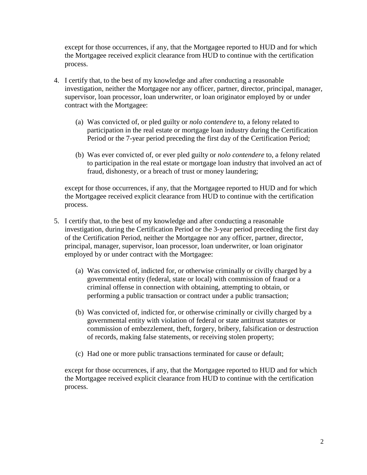except for those occurrences, if any, that the Mortgagee reported to HUD and for which the Mortgagee received explicit clearance from HUD to continue with the certification process.

- 4. I certify that, to the best of my knowledge and after conducting a reasonable investigation, neither the Mortgagee nor any officer, partner, director, principal, manager, supervisor, loan processor, loan underwriter, or loan originator employed by or under contract with the Mortgagee:
	- (a) Was convicted of, or pled guilty or *nolo contendere* to, a felony related to participation in the real estate or mortgage loan industry during the Certification Period or the 7-year period preceding the first day of the Certification Period;
	- (b) Was ever convicted of, or ever pled guilty or *nolo contendere* to, a felony related to participation in the real estate or mortgage loan industry that involved an act of fraud, dishonesty, or a breach of trust or money laundering;

except for those occurrences, if any, that the Mortgagee reported to HUD and for which the Mortgagee received explicit clearance from HUD to continue with the certification process.

- 5. I certify that, to the best of my knowledge and after conducting a reasonable investigation, during the Certification Period or the 3-year period preceding the first day of the Certification Period, neither the Mortgagee nor any officer, partner, director, principal, manager, supervisor, loan processor, loan underwriter, or loan originator employed by or under contract with the Mortgagee:
	- (a) Was convicted of, indicted for, or otherwise criminally or civilly charged by a governmental entity (federal, state or local) with commission of fraud or a criminal offense in connection with obtaining, attempting to obtain, or performing a public transaction or contract under a public transaction;
	- (b) Was convicted of, indicted for, or otherwise criminally or civilly charged by a governmental entity with violation of federal or state antitrust statutes or commission of embezzlement, theft, forgery, bribery, falsification or destruction of records, making false statements, or receiving stolen property;
	- (c) Had one or more public transactions terminated for cause or default;

except for those occurrences, if any, that the Mortgagee reported to HUD and for which the Mortgagee received explicit clearance from HUD to continue with the certification process.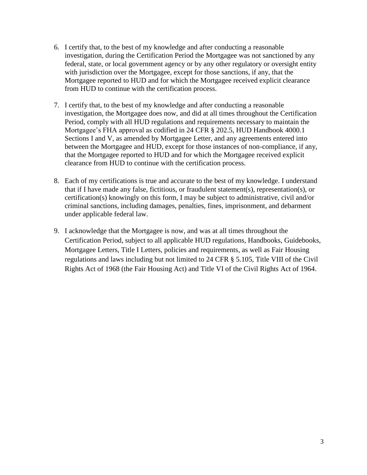- 6. I certify that, to the best of my knowledge and after conducting a reasonable investigation, during the Certification Period the Mortgagee was not sanctioned by any federal, state, or local government agency or by any other regulatory or oversight entity with jurisdiction over the Mortgagee, except for those sanctions, if any, that the Mortgagee reported to HUD and for which the Mortgagee received explicit clearance from HUD to continue with the certification process.
- 7. I certify that, to the best of my knowledge and after conducting a reasonable investigation, the Mortgagee does now, and did at all times throughout the Certification Period, comply with all HUD regulations and requirements necessary to maintain the Mortgagee's FHA approval as codified in 24 CFR § 202.5, HUD Handbook 4000.1 Sections I and V, as amended by Mortgagee Letter, and any agreements entered into between the Mortgagee and HUD, except for those instances of non-compliance, if any, that the Mortgagee reported to HUD and for which the Mortgagee received explicit clearance from HUD to continue with the certification process.
- 8. Each of my certifications is true and accurate to the best of my knowledge. I understand that if I have made any false, fictitious, or fraudulent statement(s), representation(s), or certification(s) knowingly on this form, I may be subject to administrative, civil and/or criminal sanctions, including damages, penalties, fines, imprisonment, and debarment under applicable federal law.
- 9. I acknowledge that the Mortgagee is now, and was at all times throughout the Certification Period, subject to all applicable HUD regulations, Handbooks, Guidebooks, Mortgagee Letters, Title I Letters, policies and requirements, as well as Fair Housing regulations and laws including but not limited to 24 CFR § 5.105, Title VIII of the Civil Rights Act of 1968 (the Fair Housing Act) and Title VI of the Civil Rights Act of 1964.